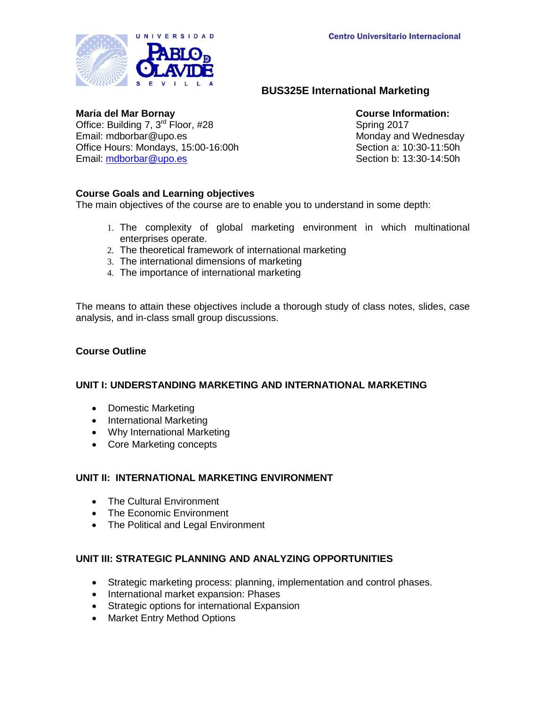

# **BUS325E International Marketing**

### **Maria del Mar Bornay Course Information:**

Office: Building 7, 3<sup>rd</sup> Floor, #28 Spring 2017<br>
Email: mdborbar@upo.es Spring 2017<br>
Monday and Office Hours: Mondays, 15:00-16:00h Email: [mdborbar@upo.es](mailto:mdborbar@upo.es)

Monday and Wednesday Section a: 10:30-11:50h Section b: 13:30-14:50h

# **Course Goals and Learning objectives**

The main objectives of the course are to enable you to understand in some depth:

- 1. The complexity of global marketing environment in which multinational enterprises operate.
- 2. The theoretical framework of international marketing
- 3. The international dimensions of marketing
- 4. The importance of international marketing

The means to attain these objectives include a thorough study of class notes, slides, case analysis, and in-class small group discussions.

# **Course Outline**

# **UNIT I: UNDERSTANDING MARKETING AND INTERNATIONAL MARKETING**

- Domestic Marketing
- International Marketing
- Why International Marketing
- Core Marketing concepts

# **UNIT II: INTERNATIONAL MARKETING ENVIRONMENT**

- The Cultural Environment
- The Economic Environment
- The Political and Legal Environment

# **UNIT III: STRATEGIC PLANNING AND ANALYZING OPPORTUNITIES**

- Strategic marketing process: planning, implementation and control phases.
- International market expansion: Phases
- Strategic options for international Expansion
- Market Entry Method Options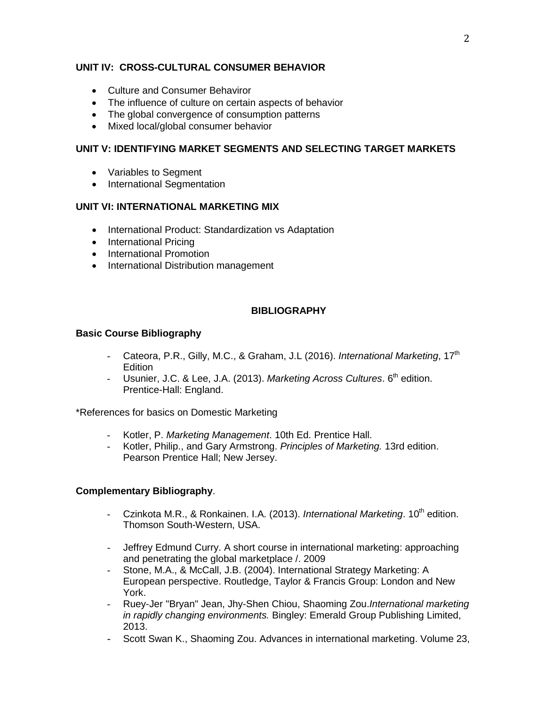# **UNIT IV: CROSS-CULTURAL CONSUMER BEHAVIOR**

- Culture and Consumer Behaviror
- The influence of culture on certain aspects of behavior
- The global convergence of consumption patterns
- Mixed local/global consumer behavior

### **UNIT V: IDENTIFYING MARKET SEGMENTS AND SELECTING TARGET MARKETS**

- Variables to Segment
- International Segmentation

# **UNIT VI: INTERNATIONAL MARKETING MIX**

- International Product: Standardization vs Adaptation
- International Pricing
- International Promotion
- International Distribution management

# **BIBLIOGRAPHY**

### **Basic Course Bibliography**

- Cateora, P.R., Gilly, M.C., & Graham, J.L (2016). *International Marketing*, 17<sup>th</sup> **Edition**
- Usunier, J.C. & Lee, J.A. (2013). *Marketing Across Cultures*. 6<sup>th</sup> edition. Prentice-Hall: England.

\*References for basics on Domestic Marketing

- Kotler, P. *Marketing Management*. 10th Ed. Prentice Hall.
- Kotler, Philip., and Gary Armstrong. *Principles of Marketing.* 13rd edition. Pearson Prentice Hall; New Jersey.

### **Complementary Bibliography**.

- Czinkota M.R., & Ronkainen. I.A. (2013). *International Marketing*. 10<sup>th</sup> edition. Thomson South-Western, USA.
- Jeffrey Edmund Curry. A short course in international marketing: approaching and penetrating the global marketplace /. 2009
- Stone, M.A., & McCall, J.B. (2004). International Strategy Marketing: A European perspective. Routledge, Taylor & Francis Group: London and New York.
- Ruey-Jer "Bryan" Jean, Jhy-Shen Chiou, Shaoming Zou.*International marketing in rapidly changing environments.* Bingley: Emerald Group Publishing Limited, 2013.
- Scott Swan K., Shaoming Zou. Advances in international marketing. Volume 23,